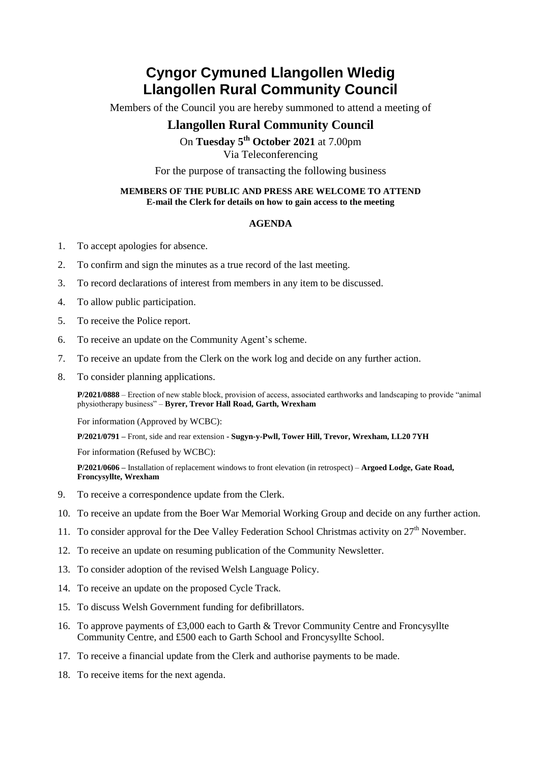## **Cyngor Cymuned Llangollen Wledig Llangollen Rural Community Council**

Members of the Council you are hereby summoned to attend a meeting of

## **Llangollen Rural Community Council**

On **Tuesday 5 th October 2021** at 7.00pm Via Teleconferencing

For the purpose of transacting the following business

## **MEMBERS OF THE PUBLIC AND PRESS ARE WELCOME TO ATTEND E-mail the Clerk for details on how to gain access to the meeting**

## **AGENDA**

- 1. To accept apologies for absence.
- 2. To confirm and sign the minutes as a true record of the last meeting.
- 3. To record declarations of interest from members in any item to be discussed.
- 4. To allow public participation.
- 5. To receive the Police report.
- 6. To receive an update on the Community Agent's scheme.
- 7. To receive an update from the Clerk on the work log and decide on any further action.
- 8. To consider planning applications.

**P/2021/0888** – Erection of new stable block, provision of access, associated earthworks and landscaping to provide "animal physiotherapy business" – **Byrer, Trevor Hall Road, Garth, Wrexham**

For information (Approved by WCBC):

**P/2021/0791 –** Front, side and rear extension **- Sugyn-y-Pwll, Tower Hill, Trevor, Wrexham, LL20 7YH** 

For information (Refused by WCBC):

**P/2021/0606 –** Installation of replacement windows to front elevation (in retrospect) – **Argoed Lodge, Gate Road, Froncysyllte, Wrexham** 

- 9. To receive a correspondence update from the Clerk.
- 10. To receive an update from the Boer War Memorial Working Group and decide on any further action.
- 11. To consider approval for the Dee Valley Federation School Christmas activity on  $27<sup>th</sup>$  November.
- 12. To receive an update on resuming publication of the Community Newsletter.
- 13. To consider adoption of the revised Welsh Language Policy.
- 14. To receive an update on the proposed Cycle Track.
- 15. To discuss Welsh Government funding for defibrillators.
- 16. To approve payments of £3,000 each to Garth & Trevor Community Centre and Froncysyllte Community Centre, and £500 each to Garth School and Froncysyllte School.
- 17. To receive a financial update from the Clerk and authorise payments to be made.
- 18. To receive items for the next agenda.